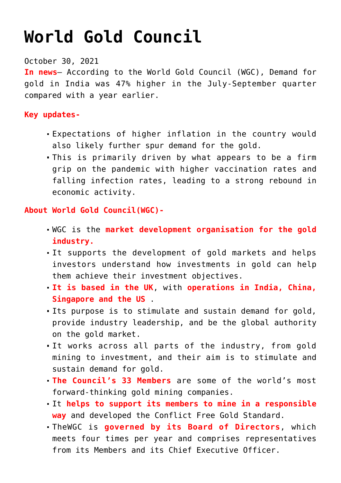## **[World Gold Council](https://journalsofindia.com/world-gold-council/)**

October 30, 2021

**In news**– According to the World Gold Council (WGC), Demand for gold in India was 47% higher in the July-September quarter compared with a year earlier.

## **Key updates-**

- Expectations of higher inflation in the country would also likely further spur demand for the gold.
- This is primarily driven by what appears to be a firm grip on the pandemic with higher vaccination rates and falling infection rates, leading to a strong rebound in economic activity.

## **About World Gold Council(WGC)-**

- WGC is the **market development organisation for the gold industry.**
- It supports the development of gold markets and helps investors understand how investments in gold can help them achieve their investment objectives.
- **It is based in the UK**, with **operations in India, China, Singapore and the US** .
- Its purpose is to stimulate and sustain demand for gold, provide industry leadership, and be the global authority on the gold market.
- It works across all parts of the industry, from gold mining to investment, and their aim is to stimulate and sustain demand for gold.
- **The Council's 33 Members** are some of the world's most forward-thinking gold mining companies.
- It **helps to support its members to mine in a responsible way** and developed the Conflict Free Gold Standard.
- TheWGC is **governed by its Board of Directors**, which meets four times per year and comprises representatives from its Members and its Chief Executive Officer.